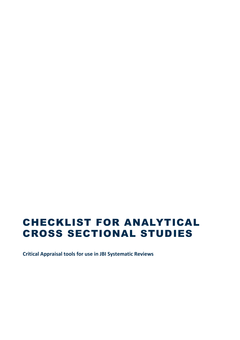# CHECKLIST FOR ANALYTICAL CROSS SECTIONAL STUDIES

**Critical Appraisal tools for use in JBI Systematic Reviews**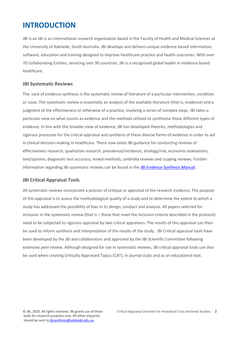### **INTRODUCTION**

JBI is an JBI is an international research organisation based in the Faculty of Health and Medical Sciences at the University of Adelaide, South Australia. JBI develops and delivers unique evidence-based information, software, education and training designed to improve healthcare practice and health outcomes. With over 70 Collaborating Entities, servicing over 90 countries, JBI is a recognised global leader in evidence-based healthcare.

#### **JBI Systematic Reviews**

The core of evidence synthesis is the systematic review of literature of a particular intervention, condition or issue. The systematic review is essentially an analysis of the available literature (that is, evidence) and a judgment of the effectiveness or otherwise of a practice, involving a series of complex steps. JBI takes a particular view on what counts as evidence and the methods utilised to synthesise those different types of evidence. In line with this broader view of evidence, JBI has developed theories, methodologies and rigorous processes for the critical appraisal and synthesis of these diverse forms of evidence in order to aid in clinical decision-making in healthcare. There now exists JBI guidance for conducting reviews of effectiveness research, qualitative research, prevalence/incidence, etiology/risk, economic evaluations, text/opinion, diagnostic test accuracy, mixed-methods, umbrella reviews and scoping reviews. Further information regarding JBI systematic reviews can be found in th[e JBI Evidence Synthesis Manual.](https://wiki.jbi.global/display/MANUAL)

#### **JBI Critical Appraisal Tools**

All systematic reviews incorporate a process of critique or appraisal of the research evidence. The purpose of this appraisal is to assess the methodological quality of a study and to determine the extent to which a study has addressed the possibility of bias in its design, conduct and analysis. All papers selected for inclusion in the systematic review (that is – those that meet the inclusion criteria described in the protocol) need to be subjected to rigorous appraisal by two critical appraisers. The results of this appraisal can then be used to inform synthesis and interpretation of the results of the study. JBI Critical appraisal tools have been developed by the JBI and collaborators and approved by the JBI Scientific Committee following extensive peer review. Although designed for use in systematic reviews, JBI critical appraisal tools can also be used when creating Critically Appraised Topics (CAT), in journal clubs and as an educational tool.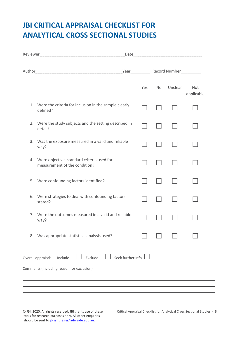## **JBI CRITICAL APPRAISAL CHECKLIST FOR ANALYTICAL CROSS SECTIONAL STUDIES**

|    |                                                                                                                   | Yes | <b>No</b> | Unclear | Not<br>applicable |
|----|-------------------------------------------------------------------------------------------------------------------|-----|-----------|---------|-------------------|
|    | 1. Were the criteria for inclusion in the sample clearly<br>defined?                                              |     |           |         |                   |
|    | 2. Were the study subjects and the setting described in<br>detail?                                                |     |           |         |                   |
| 3. | Was the exposure measured in a valid and reliable<br>way?                                                         |     |           |         |                   |
|    | 4. Were objective, standard criteria used for<br>measurement of the condition?                                    |     |           |         |                   |
|    | 5. Were confounding factors identified?                                                                           |     |           |         |                   |
| 6. | Were strategies to deal with confounding factors<br>stated?                                                       |     |           |         |                   |
|    | 7. Were the outcomes measured in a valid and reliable<br>way?                                                     |     |           |         |                   |
| 8. | Was appropriate statistical analysis used?                                                                        |     |           |         |                   |
|    | Exclude<br>Seek further info $\Box$<br>Include<br>Overall appraisal:<br>Comments (Including reason for exclusion) |     |           |         |                   |
|    |                                                                                                                   |     |           |         |                   |

tools for research purposes only. All other enquiries should be sent to [jbisynthesis@adelaide.edu.au.](mailto:jbisynthesis@adelaide.edu.au)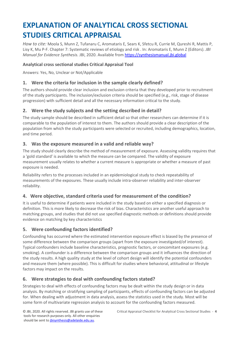## **EXPLANATION OF ANALYTICAL CROSS SECTIONAL STUDIES CRITICAL APPRAISAL**

*How to cite:* Moola S, Munn Z, Tufanaru C, Aromataris E, Sears K, Sfetcu R, Currie M, Qureshi R, Mattis P, Lisy K, Mu P-F. Chapter 7: Systematic reviews of etiology and risk . In: Aromataris E, Munn Z (Editors)*. JBI Manual for Evidence Synthesis.* JBI, 2020. Available from [https://synthesismanual.jbi.global](https://synthesismanual.jbi.global/)

#### **Analytical cross sectional studies Critical Appraisal Tool**

Answers: Yes, No, Unclear or Not/Applicable

#### **1. Were the criteria for inclusion in the sample clearly defined?**

The authors should provide clear inclusion and exclusion criteria that they developed prior to recruitment of the study participants. The inclusion/exclusion criteria should be specified (e.g., risk, stage of disease progression) with sufficient detail and all the necessary information critical to the study.

#### **2. Were the study subjects and the setting described in detail?**

The study sample should be described in sufficient detail so that other researchers can determine if it is comparable to the population of interest to them. The authors should provide a clear description of the population from which the study participants were selected or recruited, including demographics, location, and time period.

#### **3. Was the exposure measured in a valid and reliable way?**

The study should clearly describe the method of measurement of exposure. Assessing validity requires that a 'gold standard' is available to which the measure can be compared. The validity of exposure measurement usually relates to whether a current measure is appropriate or whether a measure of past exposure is needed.

Reliability refers to the processes included in an epidemiological study to check repeatability of measurements of the exposures. These usually include intra-observer reliability and inter-observer reliability.

#### **4. Were objective, standard criteria used for measurement of the condition?**

It is useful to determine if patients were included in the study based on either a specified diagnosis or definition. This is more likely to decrease the risk of bias. Characteristics are another useful approach to matching groups, and studies that did not use specified diagnostic methods or definitions should provide evidence on matching by key characteristics

#### **5. Were confounding factors identified?**

Confounding has occurred where the estimated intervention exposure effect is biased by the presence of some difference between the comparison groups (apart from the exposure investigated/of interest). Typical confounders include baseline characteristics, prognostic factors, or concomitant exposures (e.g. smoking). A confounder is a difference between the comparison groups and it influences the direction of the study results. A high quality study at the level of cohort design will identify the potential confounders and measure them (where possible). This is difficult for studies where behavioral, attitudinal or lifestyle factors may impact on the results.

#### **6. Were strategies to deal with confounding factors stated?**

Strategies to deal with effects of confounding factors may be dealt within the study design or in data analysis. By matching or stratifying sampling of participants, effects of confounding factors can be adjusted for. When dealing with adjustment in data analysis, assess the statistics used in the study. Most will be some form of multivariate regression analysis to account for the confounding factors measured.